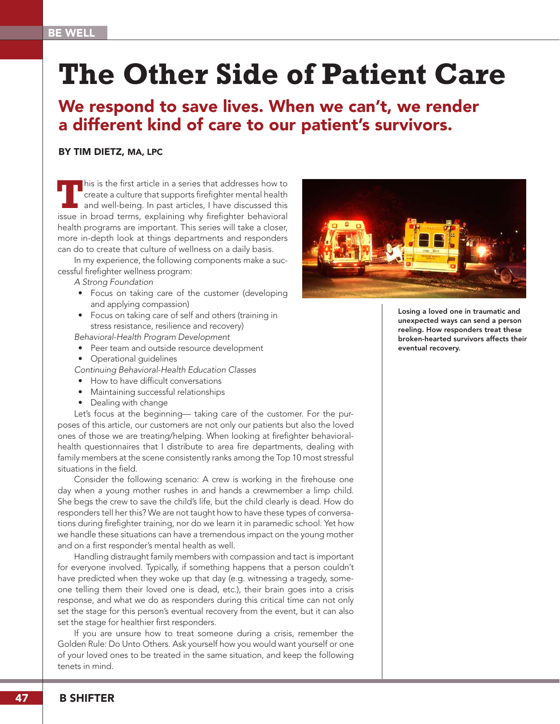# **The Other Side of Patient Care**

## We respond to save lives. When we can't, we render a different kind of care to our patient's survivors.

#### BY TIM DIETZ, MA, LPC

**T**his is the first article in a series that addresses how to create a culture that supports firefighter mental health and well-being. In past articles, I have discussed this issue in broad terms, explaining why firefighter behavioral health programs are important. This series will take a closer, more in-depth look at things departments and responders can do to create that culture of wellness on a daily basis.

In my experience, the following components make a successful firefighter wellness program:

- *A Strong Foundation*
- Focus on taking care of the customer (developing and applying compassion)
- Focus on taking care of self and others (training in stress resistance, resilience and recovery)
- *Behavioral-Health Program Development*
- Peer team and outside resource development
- Operational guidelines
- *Continuing Behavioral-Health Education Classes*
- How to have difficult conversations
- Maintaining successful relationships
- Dealing with change

Let's focus at the beginning— taking care of the customer. For the purposes of this article, our customers are not only our patients but also the loved ones of those we are treating/helping. When looking at firefighter behavioralhealth questionnaires that I distribute to area fire departments, dealing with family members at the scene consistently ranks among the Top 10 most stressful situations in the field.

Consider the following scenario: A crew is working in the firehouse one day when a young mother rushes in and hands a crewmember a limp child. She begs the crew to save the child's life, but the child clearly is dead. How do responders tell her this? We are not taught how to have these types of conversations during firefighter training, nor do we learn it in paramedic school. Yet how we handle these situations can have a tremendous impact on the young mother and on a first responder's mental health as well.

Handling distraught family members with compassion and tact is important for everyone involved. Typically, if something happens that a person couldn't have predicted when they woke up that day (e.g. witnessing a tragedy, someone telling them their loved one is dead, etc.), their brain goes into a crisis response, and what we do as responders during this critical time can not only set the stage for this person's eventual recovery from the event, but it can also set the stage for healthier first responders.

If you are unsure how to treat someone during a crisis, remember the Golden Rule: Do Unto Others. Ask yourself how you would want yourself or one of your loved ones to be treated in the same situation, and keep the following tenets in mind.



Losing a loved one in traumatic and unexpected ways can send a person reeling. How responders treat these broken-hearted survivors affects their eventual recovery.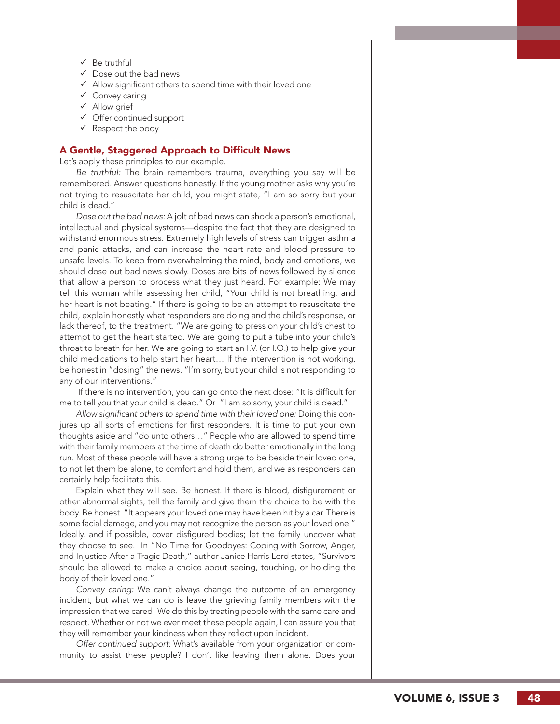- $\checkmark$  Be truthful
- $\checkmark$  Dose out the bad news
- $\checkmark$  Allow significant others to spend time with their loved one
- $\checkmark$  Convey caring
- $\checkmark$  Allow grief
- $\checkmark$  Offer continued support
- $\checkmark$  Respect the body

### A Gentle, Staggered Approach to Difficult News

Let's apply these principles to our example.

*Be truthful:* The brain remembers trauma, everything you say will be remembered. Answer questions honestly. If the young mother asks why you're not trying to resuscitate her child, you might state, "I am so sorry but your child is dead."

*Dose out the bad news:* A jolt of bad news can shock a person's emotional, intellectual and physical systems—despite the fact that they are designed to withstand enormous stress. Extremely high levels of stress can trigger asthma and panic attacks, and can increase the heart rate and blood pressure to unsafe levels. To keep from overwhelming the mind, body and emotions, we should dose out bad news slowly. Doses are bits of news followed by silence that allow a person to process what they just heard. For example: We may tell this woman while assessing her child, "Your child is not breathing, and her heart is not beating." If there is going to be an attempt to resuscitate the child, explain honestly what responders are doing and the child's response, or lack thereof, to the treatment. "We are going to press on your child's chest to attempt to get the heart started. We are going to put a tube into your child's throat to breath for her. We are going to start an I.V. (or I.O.) to help give your child medications to help start her heart… If the intervention is not working, be honest in "dosing" the news. "I'm sorry, but your child is not responding to any of our interventions."

 If there is no intervention, you can go onto the next dose: "It is difficult for me to tell you that your child is dead." Or "I am so sorry, your child is dead."

*Allow significant others to spend time with their loved one:* Doing this con jures up all sorts of emotions for first responders. It is time to put your own thoughts aside and "do unto others…" People who are allowed to spend time with their family members at the time of death do better emotionally in the long run. Most of these people will have a strong urge to be beside their loved one, to not let them be alone, to comfort and hold them, and we as responders can certainly help facilitate this.

Explain what they will see. Be honest. If there is blood, disfigurement or other abnormal sights, tell the family and give them the choice to be with the body. Be honest. "It appears your loved one may have been hit by a car. There is some facial damage, and you may not recognize the person as your loved one." Ideally, and if possible, cover disfigured bodies; let the family uncover what they choose to see. In "No Time for Goodbyes: Coping with Sorrow, Anger, and Injustice After a Tragic Death," author Janice Harris Lord states, "Survivors should be allowed to make a choice about seeing, touching, or holding the body of their loved one."

*Convey caring:* We can't always change the outcome of an emergency incident, but what we can do is leave the grieving family members with the impression that we cared! We do this by treating people with the same care and respect. Whether or not we ever meet these people again, I can assure you that they will remember your kindness when they reflect upon incident.

*Offer continued support:* What's available from your organization or com munity to assist these people? I don't like leaving them alone. Does your